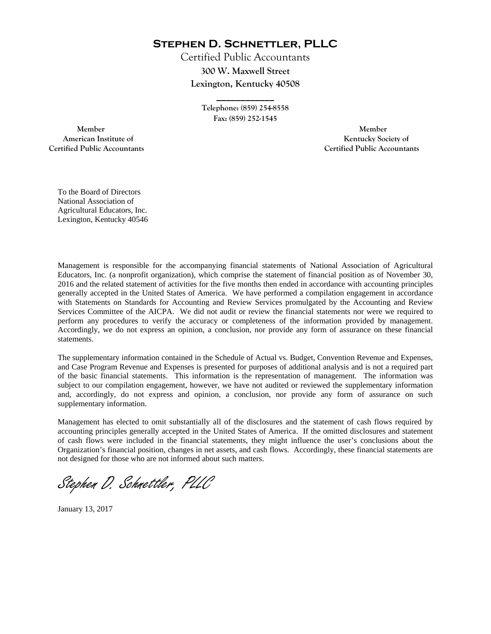**Stephen D. Schnettler, PLLC**

Certified Public Accountants **300 W. Maxwell Street Lexington, Kentucky 40508** 

> **Telephone: (859) 254-8558 Fax: (859) 252-1545**

**\_\_\_\_\_\_\_\_\_\_\_\_** 

 **Member Member Certified Public Accountants Certified Public Accountants** 

American Institute of **Kentucky Society of American Institute of** 

To the Board of Directors National Association of Agricultural Educators, Inc. Lexington, Kentucky 40546

Management is responsible for the accompanying financial statements of National Association of Agricultural Educators, Inc. (a nonprofit organization), which comprise the statement of financial position as of November 30, 2016 and the related statement of activities for the five months then ended in accordance with accounting principles generally accepted in the United States of America. We have performed a compilation engagement in accordance with Statements on Standards for Accounting and Review Services promulgated by the Accounting and Review Services Committee of the AICPA. We did not audit or review the financial statements nor were we required to perform any procedures to verify the accuracy or completeness of the information provided by management. Accordingly, we do not express an opinion, a conclusion, nor provide any form of assurance on these financial statements.

The supplementary information contained in the Schedule of Actual vs. Budget, Convention Revenue and Expenses, and Case Program Revenue and Expenses is presented for purposes of additional analysis and is not a required part of the basic financial statements. This information is the representation of management. The information was subject to our compilation engagement, however, we have not audited or reviewed the supplementary information and, accordingly, do not express and opinion, a conclusion, nor provide any form of assurance on such supplementary information.

Management has elected to omit substantially all of the disclosures and the statement of cash flows required by accounting principles generally accepted in the United States of America. If the omitted disclosures and statement of cash flows were included in the financial statements, they might influence the user's conclusions about the Organization's financial position, changes in net assets, and cash flows. Accordingly, these financial statements are not designed for those who are not informed about such matters.

Stephen D. Schnettler, PLLC

January 13, 2017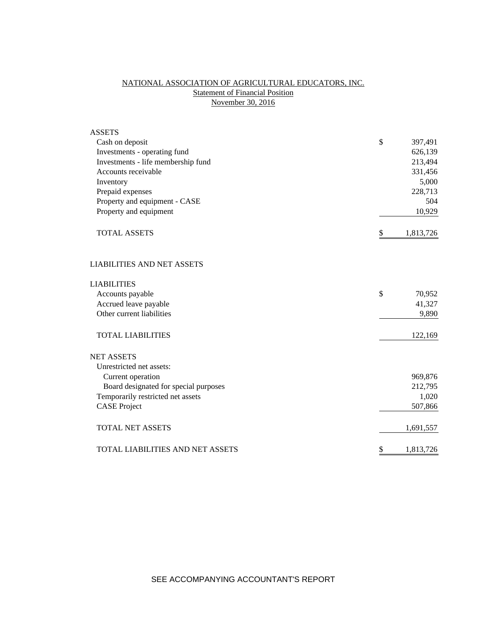# NATIONAL ASSOCIATION OF AGRICULTURAL EDUCATORS, INC. **Statement of Financial Position** November 30, 2016

| <b>ASSETS</b>                           |               |           |
|-----------------------------------------|---------------|-----------|
| Cash on deposit                         | \$            | 397,491   |
| Investments - operating fund            |               | 626,139   |
| Investments - life membership fund      |               | 213,494   |
| Accounts receivable                     |               | 331,456   |
| Inventory                               |               | 5,000     |
| Prepaid expenses                        |               | 228,713   |
| Property and equipment - CASE           |               | 504       |
| Property and equipment                  |               | 10,929    |
| <b>TOTAL ASSETS</b>                     | \$            | 1,813,726 |
| <b>LIABILITIES AND NET ASSETS</b>       |               |           |
| <b>LIABILITIES</b>                      |               |           |
| Accounts payable                        | $\mathcal{S}$ | 70,952    |
| Accrued leave payable                   |               | 41,327    |
| Other current liabilities               |               | 9,890     |
| <b>TOTAL LIABILITIES</b>                |               | 122,169   |
| <b>NET ASSETS</b>                       |               |           |
| Unrestricted net assets:                |               |           |
| Current operation                       |               | 969,876   |
| Board designated for special purposes   |               | 212,795   |
| Temporarily restricted net assets       |               | 1,020     |
| <b>CASE Project</b>                     |               | 507,866   |
| <b>TOTAL NET ASSETS</b>                 |               | 1,691,557 |
| <b>TOTAL LIABILITIES AND NET ASSETS</b> | \$            | 1,813,726 |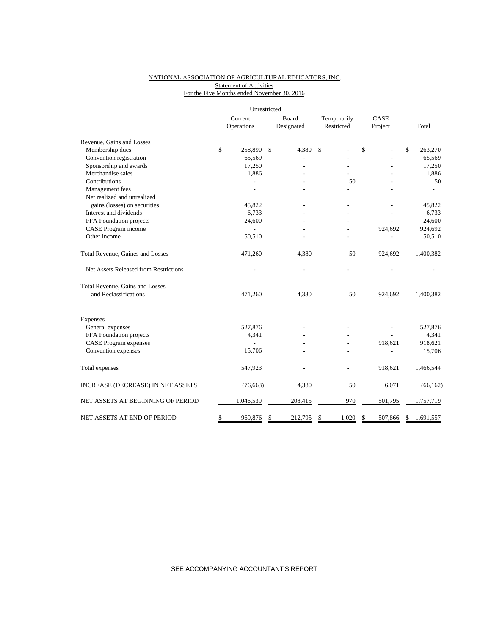### NATIONAL ASSOCIATION OF AGRICULTURAL EDUCATORS, INC. **Statement of Activities** For the Five Months ended November 30, 2016

|                                       | Unrestricted   |              |            |             |               |                 |
|---------------------------------------|----------------|--------------|------------|-------------|---------------|-----------------|
|                                       | Current        |              | Board      | Temporarily | CASE          |                 |
|                                       | Operations     |              | Designated | Restricted  | Project       | Total           |
| Revenue, Gains and Losses             |                |              |            |             |               |                 |
| Membership dues                       | \$<br>258,890  | $\mathbb{S}$ | 4,380      | \$          | \$            | \$<br>263,270   |
| Convention registration               | 65,569         |              |            |             |               | 65,569          |
| Sponsorship and awards                | 17,250         |              |            |             |               | 17,250          |
| Merchandise sales                     | 1,886          |              |            |             |               | 1,886           |
| Contributions                         |                |              |            | 50          |               | 50              |
| Management fees                       |                |              |            |             |               |                 |
| Net realized and unrealized           |                |              |            |             |               |                 |
| gains (losses) on securities          | 45,822         |              |            |             |               | 45,822          |
| Interest and dividends                | 6,733          |              |            |             |               | 6,733           |
| FFA Foundation projects               | 24,600         |              |            |             |               | 24,600          |
| CASE Program income                   |                |              |            |             | 924,692       | 924,692         |
| Other income                          | 50,510         |              |            |             |               | 50,510          |
| Total Revenue, Gaines and Losses      | 471,260        |              | 4,380      | 50          | 924,692       | 1,400,382       |
| Net Assets Released from Restrictions |                |              |            |             |               |                 |
| Total Revenue, Gains and Losses       |                |              |            |             |               |                 |
| and Reclassifications                 | 471,260        |              | 4,380      | 50          | 924,692       | 1,400,382       |
| Expenses                              |                |              |            |             |               |                 |
| General expenses                      | 527,876        |              |            |             |               | 527,876         |
| FFA Foundation projects               | 4,341          |              |            |             |               | 4,341           |
| <b>CASE Program expenses</b>          | $\overline{a}$ |              |            |             | 918,621       | 918,621         |
| Convention expenses                   | 15,706         |              |            |             |               | 15,706          |
| Total expenses                        | 547,923        |              |            |             | 918,621       | 1,466,544       |
| INCREASE (DECREASE) IN NET ASSETS     | (76, 663)      |              | 4,380      | 50          | 6,071         | (66, 162)       |
| NET ASSETS AT BEGINNING OF PERIOD     | 1,046,539      |              | 208,415    | 970         | 501,795       | 1,757,719       |
| NET ASSETS AT END OF PERIOD           | \$<br>969,876  | S            | 212,795    | \$<br>1,020 | \$<br>507,866 | \$<br>1,691,557 |

SEE ACCOMPANYING ACCOUNTANT'S REPORT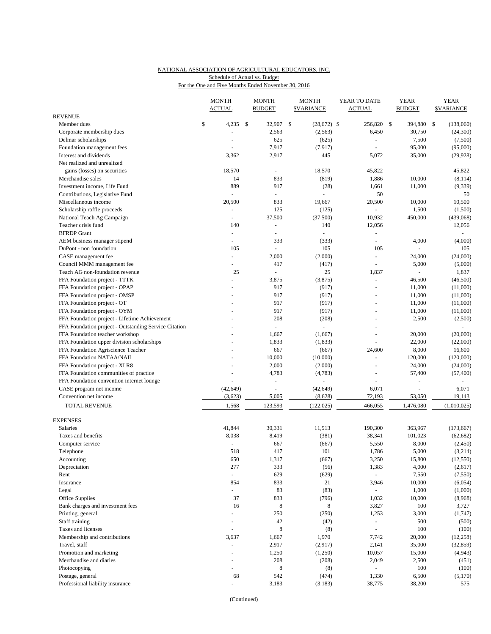# NATIONAL ASSOCIATION OF AGRICULTURAL EDUCATORS, INC. Schedule of Actual vs. Budget

|  |  |  | For the One and Five Months Ended November 30, 2016 |  |
|--|--|--|-----------------------------------------------------|--|
|  |  |  |                                                     |  |

|                                                       | <b>MONTH</b><br><b>ACTUAL</b> |              | <b>MONTH</b><br><b>BUDGET</b> | <b>MONTH</b><br><b>\$VARIANCE</b> | YEAR TO DATE<br><b>ACTUAL</b> | YEAR<br><b>BUDGET</b>    | <b>YEAR</b><br><b>\$VARIANCE</b> |
|-------------------------------------------------------|-------------------------------|--------------|-------------------------------|-----------------------------------|-------------------------------|--------------------------|----------------------------------|
| <b>REVENUE</b>                                        |                               |              |                               |                                   |                               |                          |                                  |
| Member dues                                           | \$<br>4,235                   | $\mathbf{s}$ | 32,907 \$                     | $(28,672)$ \$                     | 256,820 \$                    | 394,880 \$               | (138,060)                        |
| Corporate membership dues                             |                               |              | 2,563                         | (2, 563)                          | 6,450                         | 30,750                   | (24,300)                         |
| Delmar scholarships                                   | $\overline{a}$                |              | 625                           | (625)                             | $\overline{\phantom{a}}$      | 7,500                    | (7,500)                          |
| Foundation management fees                            |                               |              | 7,917                         | (7, 917)                          |                               | 95,000                   | (95,000)                         |
| Interest and dividends                                | 3,362                         |              | 2,917                         | 445                               | 5,072                         | 35,000                   | (29, 928)                        |
| Net realized and unrealized                           |                               |              |                               |                                   |                               |                          |                                  |
| gains (losses) on securities                          | 18,570                        |              | $\blacksquare$                | 18,570                            | 45,822                        |                          | 45,822                           |
| Merchandise sales                                     | 14                            |              | 833                           | (819)                             | 1,886                         | 10,000                   | (8, 114)                         |
| Investment income. Life Fund                          | 889                           |              | 917                           | (28)                              | 1,661                         | 11,000                   | (9, 339)                         |
| Contributions, Legislative Fund                       |                               |              | $\blacksquare$                |                                   | 50                            |                          | 50                               |
| Miscellaneous income                                  | 20,500                        |              | 833                           | 19,667                            | 20,500                        | 10,000                   | 10,500                           |
| Scholarship raffle proceeds                           |                               |              | 125                           | (125)                             | $\sim$                        | 1,500                    | (1,500)                          |
| National Teach Ag Campaign                            | ÷                             |              | 37,500                        | (37,500)                          | 10,932                        | 450,000                  | (439,068)                        |
| Teacher crisis fund                                   | 140                           |              | $\overline{\phantom{a}}$      | 140                               | 12,056                        |                          | 12,056                           |
| <b>BFRDP</b> Grant                                    | $\blacksquare$                |              | $\overline{\phantom{a}}$      | ÷                                 | $\overline{a}$                |                          |                                  |
| AEM business manager stipend                          | ÷.                            |              | 333                           | (333)                             | $\sim$                        | 4,000                    | (4,000)                          |
| DuPont - non foundation                               | 105                           |              | ÷.                            | 105                               | 105                           |                          | 105                              |
| CASE management fee                                   | ÷.                            |              | 2,000                         | (2,000)                           | $\overline{\phantom{a}}$      | 24,000                   | (24,000)                         |
| Council MMM management fee                            | $\overline{\phantom{a}}$      |              | 417                           | (417)                             | $\sim$                        | 5,000                    | (5,000)                          |
| Teach AG non-foundation revenue                       | 25                            |              | ä,                            | 25                                | 1,837                         | $\overline{\phantom{a}}$ | 1,837                            |
| FFA Foundation project - TTTK                         |                               |              | 3,875                         | (3,875)                           | $\sim$                        | 46,500                   | (46,500)                         |
| FFA Foundation project - OPAP                         |                               |              | 917                           | (917)                             | $\sim$                        | 11,000                   | (11,000)                         |
| FFA Foundation project - OMSP                         |                               |              | 917                           | (917)                             |                               | 11,000                   | (11,000)                         |
| FFA Foundation project - OT                           |                               |              | 917                           | (917)                             | ÷.                            | 11,000                   | (11,000)                         |
| FFA Foundation project - OYM                          |                               |              | 917                           | (917)                             | $\overline{a}$                | 11,000                   | (11,000)                         |
| FFA Foundation project - Lifetime Achievement         |                               |              | 208                           | (208)                             | ÷,                            | 2,500                    | (2,500)                          |
| FFA Foundation project - Outstanding Service Citation |                               |              |                               |                                   | $\overline{a}$                |                          |                                  |
| FFA Foundation teacher workshop                       |                               |              | 1,667                         | (1,667)                           | $\sim$                        | 20,000                   | (20,000)                         |
| FFA Foundation upper division scholarships            |                               |              | 1,833                         | (1,833)                           | ÷,                            | 22,000                   | (22,000)                         |
| FFA Foundation Agriscience Teacher                    |                               |              | 667                           | (667)                             | 24,600                        | 8,000                    | 16,600                           |
| FFA Foundation NATAA/NAII                             |                               |              | 10,000                        | (10,000)                          | $\overline{a}$                | 120,000                  | (120,000)                        |
| FFA Foundation project - XLR8                         |                               |              | 2,000                         | (2,000)                           | ÷.                            | 24,000                   | (24,000)                         |
| FFA Foundation communities of practice                |                               |              | 4,783                         | (4,783)                           | ÷,                            | 57,400                   | (57, 400)                        |
| FFA Foundation convention internet lounge             |                               |              |                               |                                   | ÷,                            |                          |                                  |
| CASE program net income                               | (42, 649)                     |              | ÷,                            | (42, 649)                         | 6,071                         |                          | 6,071                            |
| Convention net income                                 | (3,623)                       |              | 5,005                         | (8,628)                           | 72,193                        | 53,050                   | 19,143                           |
| TOTAL REVENUE                                         | 1,568                         |              | 123,593                       | (122, 025)                        | 466,055                       | 1,476,080                | (1,010,025)                      |
| <b>EXPENSES</b>                                       |                               |              |                               |                                   |                               |                          |                                  |
| Salaries                                              | 41,844                        |              | 30,331                        | 11,513                            | 190,300                       | 363,967                  | (173, 667)                       |
| Taxes and benefits                                    | 8,038                         |              | 8,419                         | (381)                             | 38,341                        | 101,023                  | (62, 682)                        |
| Computer service                                      |                               |              | 667                           | (667)                             | 5,550                         | 8,000                    | (2, 450)                         |
| Telephone                                             | 518                           |              | 417                           | 101                               | 1,786                         | 5,000                    | (3,214)                          |
| Accounting                                            | 650                           |              | 1,317                         | (667)                             | 3,250                         | 15,800                   | (12, 550)                        |
| Depreciation                                          | 277                           |              | 333                           | (56)                              | 1,383                         | 4,000                    | (2,617)                          |
| Rent                                                  | ÷.                            |              | 629                           | (629)                             | $\omega$                      | 7,550                    | (7,550)                          |
| Insurance                                             | 854                           |              | 833                           | 21                                | 3,946                         | 10,000                   | (6,054)                          |
| Legal                                                 | L,                            |              | 83                            | (83)                              | $\blacksquare$                | 1,000                    | (1,000)                          |
| Office Supplies                                       | 37                            |              | 833                           | (796)                             | 1,032                         | 10,000                   | (8,968)                          |
| Bank charges and investment fees                      | 16                            |              | 8                             | 8                                 | 3,827                         | 100                      | 3,727                            |
| Printing, general                                     |                               |              | 250                           | (250)                             | 1,253                         | 3,000                    | (1,747)                          |
| Staff training                                        | $\blacksquare$                |              | $42\,$                        | (42)                              | $\overline{\phantom{a}}$      | 500                      | (500)                            |
| Taxes and licenses                                    | ÷,                            |              | $\,$ 8 $\,$                   |                                   | $\blacksquare$                | 100                      |                                  |
|                                                       |                               |              |                               | (8)                               |                               |                          | (100)                            |
| Membership and contributions<br>Travel, staff         | 3,637<br>÷,                   |              | 1,667<br>2,917                | 1,970<br>(2,917)                  | 7,742<br>2,141                | 20,000<br>35,000         | (12, 258)<br>(32, 859)           |
|                                                       | $\overline{\phantom{a}}$      |              |                               |                                   |                               |                          |                                  |
| Promotion and marketing                               |                               |              | 1,250<br>208                  | (1,250)                           | 10,057                        | 15,000                   | (4, 943)                         |
| Merchandise and diaries                               | $\overline{\phantom{a}}$      |              | 8                             | (208)                             | 2,049<br>÷,                   | 2,500                    | (451)                            |
| Photocopying                                          |                               |              |                               | (8)                               |                               | 100                      | (100)                            |
| Postage, general                                      | 68                            |              | 542                           | (474)                             | 1,330                         | 6,500                    | (5,170)                          |
| Professional liability insurance                      | $\blacksquare$                |              | 3,183                         | (3,183)                           | 38,775                        | 38,200                   | 575                              |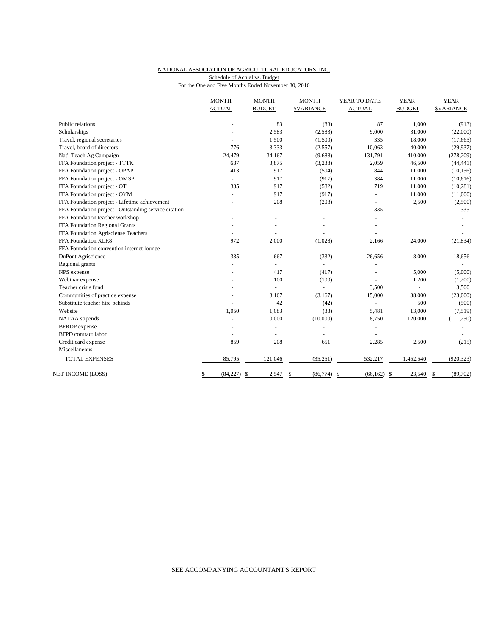## NATIONAL ASSOCIATION OF AGRICULTURAL EDUCATORS, INC. Schedule of Actual vs. Budget

For the One and Five Months Ended November 30, 2016

|                                                       | <b>MONTH</b><br><b>ACTUAL</b> | <b>MONTH</b><br><b>BUDGET</b> | <b>MONTH</b><br><b>\$VARIANCE</b> | YEAR TO DATE<br><b>ACTUAL</b> | <b>YEAR</b><br><b>BUDGET</b> | <b>YEAR</b><br><b>\$VARIANCE</b> |
|-------------------------------------------------------|-------------------------------|-------------------------------|-----------------------------------|-------------------------------|------------------------------|----------------------------------|
| Public relations                                      |                               | 83                            | (83)                              | 87                            | 1,000                        | (913)                            |
| Scholarships                                          |                               | 2,583                         | (2,583)                           | 9,000                         | 31,000                       | (22,000)                         |
| Travel, regional secretaries                          |                               | 1,500                         | (1,500)                           | 335                           | 18,000                       | (17,665)                         |
| Travel, board of directors                            | 776                           | 3,333                         | (2,557)                           | 10,063                        | 40,000                       | (29, 937)                        |
| Nat'l Teach Ag Campaign                               | 24,479                        | 34,167                        | (9,688)                           | 131,791                       | 410,000                      | (278, 209)                       |
| FFA Foundation project - TTTK                         | 637                           | 3,875                         | (3,238)                           | 2,059                         | 46,500                       | (44, 441)                        |
| FFA Foundation project - OPAP                         | 413                           | 917                           | (504)                             | 844                           | 11,000                       | (10, 156)                        |
| FFA Foundation project - OMSP                         |                               | 917                           | (917)                             | 384                           | 11,000                       | (10,616)                         |
| FFA Foundation project - OT                           | 335                           | 917                           | (582)                             | 719                           | 11,000                       | (10, 281)                        |
| FFA Foundation project - OYM                          |                               | 917                           | (917)                             | $\bar{a}$                     | 11,000                       | (11,000)                         |
| FFA Foundation project - Lifetime achievement         |                               | 208                           | (208)                             |                               | 2,500                        | (2,500)                          |
| FFA Foundation project - Outstanding service citation |                               |                               | $\equiv$                          | 335                           |                              | 335                              |
| FFA Foundation teacher workshop                       |                               |                               |                                   |                               |                              |                                  |
| FFA Foundation Regional Grants                        |                               |                               |                                   |                               |                              |                                  |
| FFA Foundation Agrisciense Teachers                   | ÷                             |                               |                                   |                               |                              |                                  |
| FFA Foundation XLR8                                   | 972                           | 2,000                         | (1,028)                           | 2,166                         | 24,000                       | (21, 834)                        |
| FFA Foundation convention internet lounge             | $\blacksquare$                | $\sim$                        | $\overline{a}$                    |                               |                              |                                  |
| DuPont Agriscience                                    | 335                           | 667                           | (332)                             | 26,656                        | 8,000                        | 18,656                           |
| Regional grants                                       | $\blacksquare$                | L.                            | ä,                                |                               |                              |                                  |
| NPS expense                                           |                               | 417                           | (417)                             |                               | 5,000                        | (5,000)                          |
| Webinar expense                                       |                               | 100                           | (100)                             |                               | 1,200                        | (1,200)                          |
| Teacher crisis fund                                   |                               | L.                            |                                   | 3,500                         |                              | 3,500                            |
| Communities of practice expense                       |                               | 3,167                         | (3,167)                           | 15,000                        | 38,000                       | (23,000)                         |
| Substitute teacher hire behinds                       |                               | 42                            | (42)                              | ÷,                            | 500                          | (500)                            |
| Website                                               | 1,050                         | 1,083                         | (33)                              | 5,481                         | 13,000                       | (7,519)                          |
| NATAA stipends                                        |                               | 10,000                        | (10,000)                          | 8,750                         | 120,000                      | (111, 250)                       |
| <b>BFRDP</b> expense                                  |                               |                               |                                   |                               |                              |                                  |
| <b>BFPD</b> contract labor                            |                               |                               |                                   |                               |                              |                                  |
| Credit card expense                                   | 859                           | 208                           | 651                               | 2,285                         | 2,500                        | (215)                            |
| Miscellaneous                                         | $\blacksquare$                | ÷,                            | $\equiv$                          | $\sim$                        | $\overline{\phantom{a}}$     | $\sim$                           |
| <b>TOTAL EXPENSES</b>                                 | 85,795                        | 121,046                       | (35, 251)                         | 532,217                       | 1,452,540                    | (920, 323)                       |
| NET INCOME (LOSS)                                     | (84, 227)<br>\$               | 2,547<br>$\mathbb{S}$         | \$<br>(86, 774)                   | \$<br>(66, 162)               | 23,540<br>-\$                | (89,702)<br>\$                   |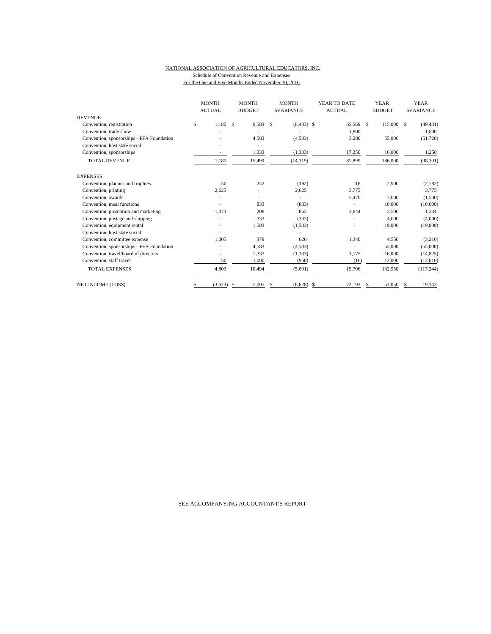### NATIONAL ASSOCIATION OF AGRICULTURAL EDUCATORS, INC. Schedule of Convention Revenue and Expenses For the One and Five Months Ended November 30, 2016

|                                           | <b>MONTH</b><br><b>ACTUAL</b> | <b>MONTH</b><br><b>BUDGET</b> | <b>MONTH</b><br><b>SVARIANCE</b> | YEAR TO DATE<br><b>ACTUAL</b> | <b>YEAR</b><br><b>BUDGET</b> | <b>YEAR</b><br><b>SVARIANCE</b> |  |
|-------------------------------------------|-------------------------------|-------------------------------|----------------------------------|-------------------------------|------------------------------|---------------------------------|--|
| <b>REVENUE</b>                            |                               |                               |                                  |                               |                              |                                 |  |
| Convention, registration                  | \$<br>1,180                   | 9,583<br>S                    | S<br>$(8,403)$ \$                | 65,569                        | <sup>\$</sup><br>115,000 \$  | (49, 431)                       |  |
| Convention, trade show                    |                               |                               |                                  | 1,800                         |                              | 1,800                           |  |
| Convention, sponsorships - FFA Foundation |                               | 4,583                         | (4,583)                          | 3,280                         | 55,000                       | (51, 720)                       |  |
| Convention, host state social             |                               |                               |                                  |                               |                              |                                 |  |
| Convention, sponsorships                  |                               | 1,333                         | (1, 333)                         | 17,250                        | 16,000                       | 1,250                           |  |
| <b>TOTAL REVENUE</b>                      | 1,180                         | 15,499                        | (14, 319)                        | 87,899                        | 186,000                      | (98, 101)                       |  |
| <b>EXPENSES</b>                           |                               |                               |                                  |                               |                              |                                 |  |
| Convention, plaques and trophies          | 50                            | 242                           | (192)                            | 118                           | 2,900                        | (2,782)                         |  |
| Convention, printing                      | 2.625                         |                               | 2,625                            | 3,775                         |                              | 3,775                           |  |
| Convention, awards                        |                               | ۰                             |                                  | 5,470                         | 7,000                        | (1,530)                         |  |
| Convention, meal functions                |                               | 833                           | (833)                            |                               | 10,000                       | (10,000)                        |  |
| Convention, promotion and marketing       | 1,073                         | 208                           | 865                              | 3,844                         | 2,500                        | 1,344                           |  |
| Convention, postage and shipping          |                               | 333                           | (333)                            |                               | 4,000                        | (4,000)                         |  |
| Convention, equipment rental              |                               | 1,583                         | (1, 583)                         |                               | 19,000                       | (19,000)                        |  |
| Convention, host state social             |                               |                               |                                  |                               |                              |                                 |  |
| Convention, committee expense             | 1,005                         | 379                           | 626                              | 1,340                         | 4,550                        | (3,210)                         |  |
| Convention, sponsorships - FFA Foundation |                               | 4,583                         | (4,583)                          |                               | 55,000                       | (55,000)                        |  |
| Convention, travel/board of directors     |                               | 1,333                         | (1, 333)                         | 1,175                         | 16,000                       | (14, 825)                       |  |
| Convention, staff travel                  | 50                            | 1,000                         | (950)                            | (16)                          | 12,000                       | (12,016)                        |  |
| <b>TOTAL EXPENSES</b>                     | 4,803                         | 10,494                        | (5,691)                          | 15,706                        | 132,950                      | (117, 244)                      |  |
| <b>NET INCOME (LOSS)</b>                  | (3,623)                       | 5,005<br>S                    | (8,628)<br>S                     | \$<br>72.193                  | 53,050<br>\$                 | 19,143<br>S.                    |  |

SEE ACCOMPANYING ACCOUNTANT'S REPORT